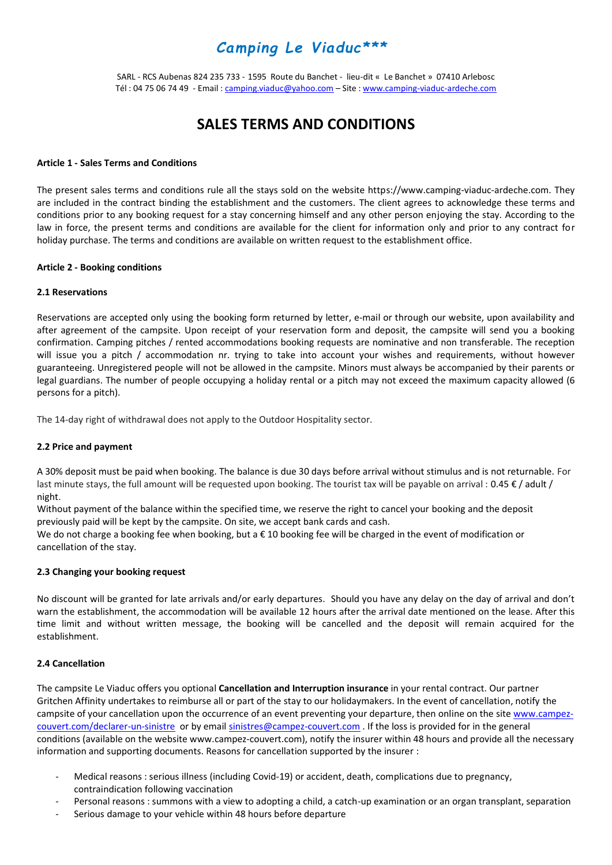# *Camping Le Viaduc\*\*\**

SARL - RCS Aubenas 824 235 733 - 1595 Route du Banchet - lieu-dit « Le Banchet » 07410 Arlebosc Tél : 04 75 06 74 49 - Email : [camping.viaduc@yahoo.com](mailto:camping.viaduc@yahoo.com) - Site [: www.camping-viaduc-ardeche.com](http://www.camping-viaduc-ardeche.com/)

## **SALES TERMS AND CONDITIONS**

#### **Article 1 - Sales Terms and Conditions**

The present sales terms and conditions rule all the stays sold on the website https://www.camping-viaduc-ardeche.com. They are included in the contract binding the establishment and the customers. The client agrees to acknowledge these terms and conditions prior to any booking request for a stay concerning himself and any other person enjoying the stay. According to the law in force, the present terms and conditions are available for the client for information only and prior to any contract for holiday purchase. The terms and conditions are available on written request to the establishment office.

#### **Article 2 - Booking conditions**

#### **2.1 Reservations**

Reservations are accepted only using the booking form returned by letter, e-mail or through our website, upon availability and after agreement of the campsite. Upon receipt of your reservation form and deposit, the campsite will send you a booking confirmation. Camping pitches / rented accommodations booking requests are nominative and non transferable. The reception will issue you a pitch / accommodation nr. trying to take into account your wishes and requirements, without however guaranteeing. Unregistered people will not be allowed in the campsite. Minors must always be accompanied by their parents or legal guardians. The number of people occupying a holiday rental or a pitch may not exceed the maximum capacity allowed (6 persons for a pitch).

The 14-day right of withdrawal does not apply to the Outdoor Hospitality sector.

#### **2.2 Price and payment**

A 30% deposit must be paid when booking. The balance is due 30 days before arrival without stimulus and is not returnable. For last minute stays, the full amount will be requested upon booking. The tourist tax will be payable on arrival : 0.45  $\epsilon$  / adult / night.

Without payment of the balance within the specified time, we reserve the right to cancel your booking and the deposit previously paid will be kept by the campsite. On site, we accept bank cards and cash.

We do not charge a booking fee when booking, but a € 10 booking fee will be charged in the event of modification or cancellation of the stay.

#### **2.3 Changing your booking request**

No discount will be granted for late arrivals and/or early departures. Should you have any delay on the day of arrival and don't warn the establishment, the accommodation will be available 12 hours after the arrival date mentioned on the lease. After this time limit and without written message, the booking will be cancelled and the deposit will remain acquired for the establishment.

## **2.4 Cancellation**

The campsite Le Viaduc offers you optional **Cancellation and Interruption insurance** in your rental contract. Our partner Gritchen Affinity undertakes to reimburse all or part of the stay to our holidaymakers. In the event of cancellation, notify the campsite of your cancellation upon the occurrence of an event preventing your departure, then online on the sit[e www.campez](http://www.campez-couvert.com/declarer-un-sinistre)[couvert.com/declarer-un-sinistre](http://www.campez-couvert.com/declarer-un-sinistre) or by emai[l sinistres@campez-couvert.com](mailto:sinistres@campez-couvert.com) . If the loss is provided for in the general conditions (available on the website www.campez-couvert.com), notify the insurer within 48 hours and provide all the necessary information and supporting documents. Reasons for cancellation supported by the insurer :

- Medical reasons : serious illness (including Covid-19) or accident, death, complications due to pregnancy, contraindication following vaccination
- Personal reasons : summons with a view to adopting a child, a catch-up examination or an organ transplant, separation
- Serious damage to your vehicle within 48 hours before departure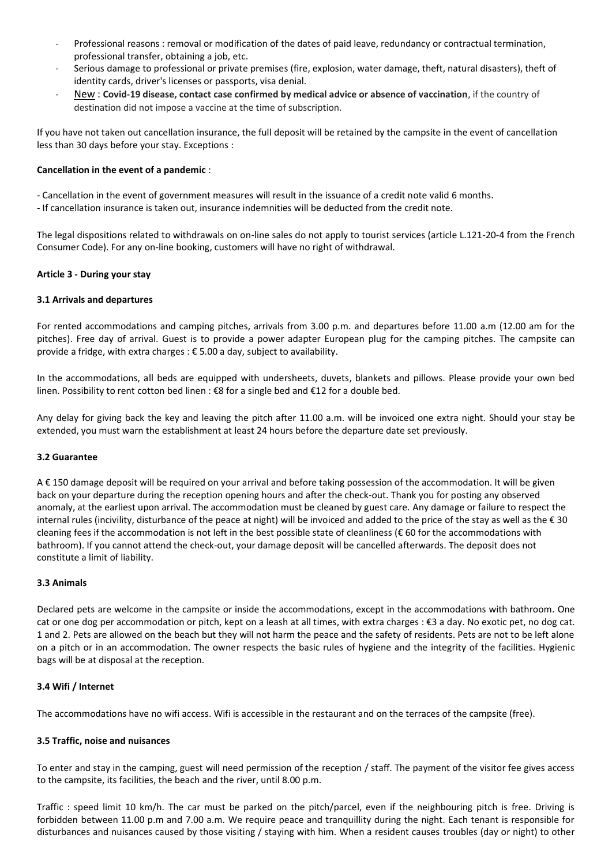- Professional reasons : removal or modification of the dates of paid leave, redundancy or contractual termination, professional transfer, obtaining a job, etc.
- Serious damage to professional or private premises (fire, explosion, water damage, theft, natural disasters), theft of identity cards, driver's licenses or passports, visa denial.
- New : **Covid-19 disease, contact case confirmed by medical advice or absence of vaccination**, if the country of destination did not impose a vaccine at the time of subscription.

If you have not taken out cancellation insurance, the full deposit will be retained by the campsite in the event of cancellation less than 30 days before your stay. Exceptions :

## **Cancellation in the event of a pandemic** :

- Cancellation in the event of government measures will result in the issuance of a credit note valid 6 months.

- If cancellation insurance is taken out, insurance indemnities will be deducted from the credit note.

The legal dispositions related to withdrawals on on-line sales do not apply to tourist services (article L.121-20-4 from the French Consumer Code). For any on-line booking, customers will have no right of withdrawal.

## **Article 3 - During your stay**

## **3.1 Arrivals and departures**

For rented accommodations and camping pitches, arrivals from 3.00 p.m. and departures before 11.00 a.m (12.00 am for the pitches). Free day of arrival. Guest is to provide a power adapter European plug for the camping pitches. The campsite can provide a fridge, with extra charges : € 5.00 a day, subject to availability.

In the accommodations, all beds are equipped with undersheets, duvets, blankets and pillows. Please provide your own bed linen. Possibility to rent cotton bed linen : €8 for a single bed and €12 for a double bed.

Any delay for giving back the key and leaving the pitch after 11.00 a.m. will be invoiced one extra night. Should your stay be extended, you must warn the establishment at least 24 hours before the departure date set previously.

## **3.2 Guarantee**

A € 150 damage deposit will be required on your arrival and before taking possession of the accommodation. It will be given back on your departure during the reception opening hours and after the check-out. Thank you for posting any observed anomaly, at the earliest upon arrival. The accommodation must be cleaned by guest care. Any damage or failure to respect the internal rules (incivility, disturbance of the peace at night) will be invoiced and added to the price of the stay as well as the € 30 cleaning fees if the accommodation is not left in the best possible state of cleanliness ( $\epsilon$  60 for the accommodations with bathroom). If you cannot attend the check-out, your damage deposit will be cancelled afterwards. The deposit does not constitute a limit of liability.

## **3.3 Animals**

Declared pets are welcome in the campsite or inside the accommodations, except in the accommodations with bathroom. One cat or one dog per accommodation or pitch, kept on a leash at all times, with extra charges : €3 a day. No exotic pet, no dog cat. 1 and 2. Pets are allowed on the beach but they will not harm the peace and the safety of residents. Pets are not to be left alone on a pitch or in an accommodation. The owner respects the basic rules of hygiene and the integrity of the facilities. Hygienic bags will be at disposal at the reception.

#### **3.4 Wifi / Internet**

The accommodations have no wifi access. Wifi is accessible in the restaurant and on the terraces of the campsite (free).

#### **3.5 Traffic, noise and nuisances**

To enter and stay in the camping, guest will need permission of the reception / staff. The payment of the visitor fee gives access to the campsite, its facilities, the beach and the river, until 8.00 p.m.

Traffic : speed limit 10 km/h. The car must be parked on the pitch/parcel, even if the neighbouring pitch is free. Driving is forbidden between 11.00 p.m and 7.00 a.m. We require peace and tranquillity during the night. Each tenant is responsible for disturbances and nuisances caused by those visiting / staying with him. When a resident causes troubles (day or night) to other